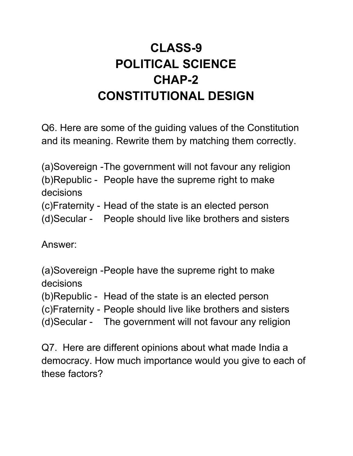## **CLASS-9 POLITICAL SCIENCE CHAP-2 CONSTITUTIONAL DESIGN**

Q6. Here are some of the guiding values of the Constitution and its meaning. Rewrite them by matching them correctly.

(a)Sovereign -The government will not favour any religion (b)Republic - People have the supreme right to make decisions (c)Fraternity - Head of the state is an elected person (d)Secular - People should live like brothers and sisters

Answer:

(a)Sovereign -People have the supreme right to make decisions

(b)Republic - Head of the state is an elected person

(c)Fraternity - People should live like brothers and sisters

(d)Secular - The government will not favour any religion

Q7. Here are different opinions about what made India a democracy. How much importance would you give to each of these factors?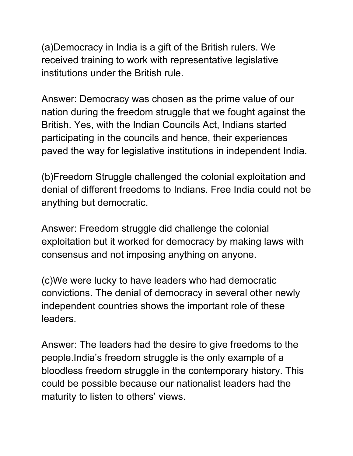(a)Democracy in India is a gift of the British rulers. We received training to work with representative legislative institutions under the British rule.

Answer: Democracy was chosen as the prime value of our nation during the freedom struggle that we fought against the British. Yes, with the Indian Councils Act, Indians started participating in the councils and hence, their experiences paved the way for legislative institutions in independent India.

(b)Freedom Struggle challenged the colonial exploitation and denial of different freedoms to Indians. Free India could not be anything but democratic.

Answer: Freedom struggle did challenge the colonial exploitation but it worked for democracy by making laws with consensus and not imposing anything on anyone.

(c)We were lucky to have leaders who had democratic convictions. The denial of democracy in several other newly independent countries shows the important role of these leaders.

Answer: The leaders had the desire to give freedoms to the people.India's freedom struggle is the only example of a bloodless freedom struggle in the contemporary history. This could be possible because our nationalist leaders had the maturity to listen to others' views.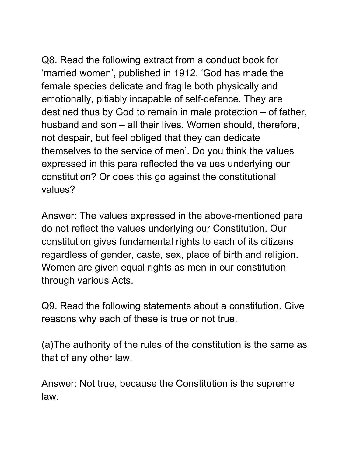Q8. Read the following extract from a conduct book for 'married women', published in 1912. 'God has made the female species delicate and fragile both physically and emotionally, pitiably incapable of self-defence. They are destined thus by God to remain in male protection – of father, husband and son – all their lives. Women should, therefore, not despair, but feel obliged that they can dedicate themselves to the service of men'. Do you think the values expressed in this para reflected the values underlying our constitution? Or does this go against the constitutional values?

Answer: The values expressed in the above-mentioned para do not reflect the values underlying our Constitution. Our constitution gives fundamental rights to each of its citizens regardless of gender, caste, sex, place of birth and religion. Women are given equal rights as men in our constitution through various Acts.

Q9. Read the following statements about a constitution. Give reasons why each of these is true or not true.

(a)The authority of the rules of the constitution is the same as that of any other law.

Answer: Not true, because the Constitution is the supreme law.